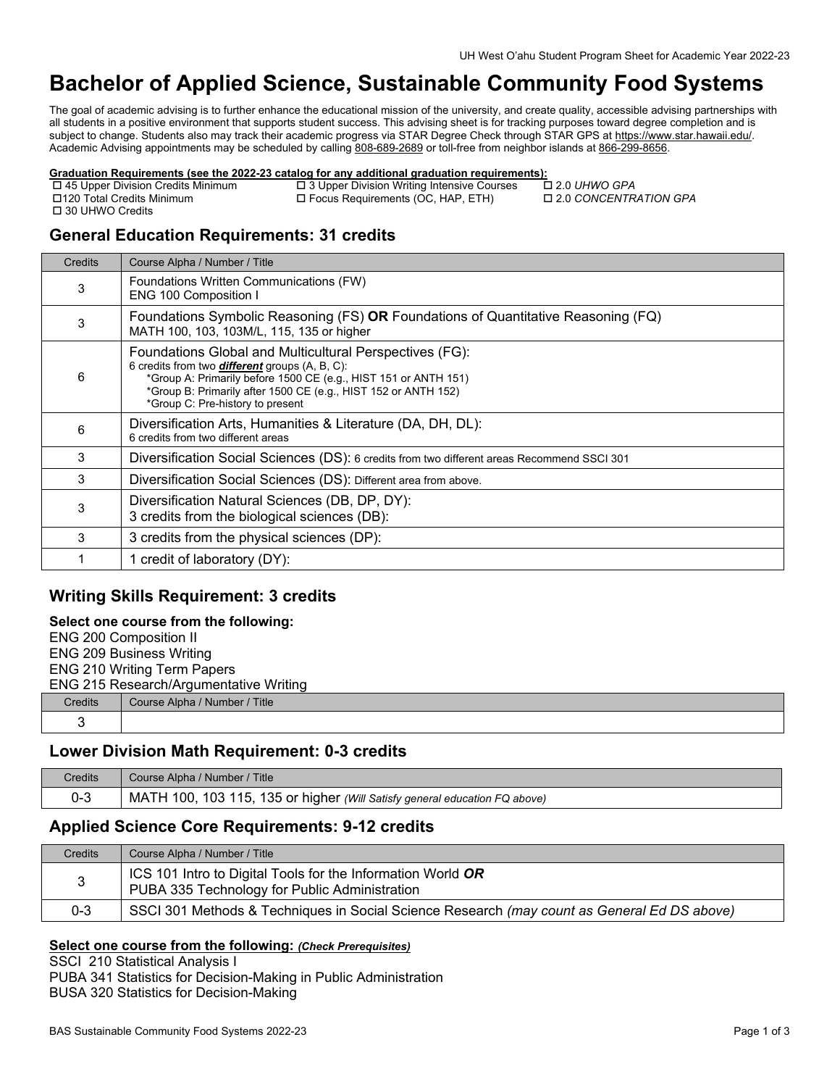# **Bachelor of Applied Science, Sustainable Community Food Systems**

The goal of academic advising is to further enhance the educational mission of the university, and create quality, accessible advising partnerships with all students in a positive environment that supports student success. This advising sheet is for tracking purposes toward degree completion and is subject to change. Students also may track their academic progress via STAR Degree Check through STAR GPS at https://www.star.hawaii.edu/. Academic Advising appointments may be scheduled by calling [808-689-2689 o](tel:808-689-2689)r toll-free from neighbor islands a[t 866-299-8656.](tel:866-299-8656) 

# **Graduation Requirements (see the 2022-23 catalog for any additional graduation requirements):**<br>
□ 45 Upper Division Credits Minimum □ 3 Upper Division Writing Intensive Courses □ 2.0 UHWO GPA

 45 Upper Division Credits Minimum 3 Upper Division Writing Intensive Courses 2.0 *UHWO GPA* □ 30 UHWO Credits

□ Focus Requirements (OC, HAP, ETH)

## **General Education Requirements: 31 credits**

| Credits | Course Alpha / Number / Title                                                                                                                                                                                                                                                             |
|---------|-------------------------------------------------------------------------------------------------------------------------------------------------------------------------------------------------------------------------------------------------------------------------------------------|
| 3       | Foundations Written Communications (FW)<br><b>ENG 100 Composition I</b>                                                                                                                                                                                                                   |
| 3       | Foundations Symbolic Reasoning (FS) OR Foundations of Quantitative Reasoning (FQ)<br>MATH 100, 103, 103M/L, 115, 135 or higher                                                                                                                                                            |
| 6       | Foundations Global and Multicultural Perspectives (FG):<br>6 credits from two <b>different</b> groups (A, B, C):<br>*Group A: Primarily before 1500 CE (e.g., HIST 151 or ANTH 151)<br>*Group B: Primarily after 1500 CE (e.g., HIST 152 or ANTH 152)<br>*Group C: Pre-history to present |
| 6       | Diversification Arts, Humanities & Literature (DA, DH, DL):<br>6 credits from two different areas                                                                                                                                                                                         |
| 3       | Diversification Social Sciences (DS): 6 credits from two different areas Recommend SSCI 301                                                                                                                                                                                               |
| 3       | Diversification Social Sciences (DS): Different area from above.                                                                                                                                                                                                                          |
| 3       | Diversification Natural Sciences (DB, DP, DY):<br>3 credits from the biological sciences (DB):                                                                                                                                                                                            |
| 3       | 3 credits from the physical sciences (DP):                                                                                                                                                                                                                                                |
|         | 1 credit of laboratory (DY):                                                                                                                                                                                                                                                              |

## **Writing Skills Requirement: 3 credits**

#### **Select one course from the following:**

|                                    | <b>ENG 200 Composition II</b>          |  |
|------------------------------------|----------------------------------------|--|
|                                    | <b>ENG 209 Business Writing</b>        |  |
| <b>ENG 210 Writing Term Papers</b> |                                        |  |
|                                    | ENG 215 Research/Argumentative Writing |  |
| Credits                            | Course Alpha / Number / Title          |  |
|                                    |                                        |  |

## **Lower Division Math Requirement: 0-3 credits**

| Credits | Course Alpha / Number / Title                                              |
|---------|----------------------------------------------------------------------------|
| 0-3     | MATH 100, 103 115, 135 or higher (Will Satisfy general education FQ above) |

## **Applied Science Core Requirements: 9-12 credits**

| <b>Credits</b> | Course Alpha / Number / Title                                                                                |
|----------------|--------------------------------------------------------------------------------------------------------------|
|                | ICS 101 Intro to Digital Tools for the Information World OR<br>PUBA 335 Technology for Public Administration |
| $0 - 3$        | SSCI 301 Methods & Techniques in Social Science Research (may count as General Ed DS above)                  |

#### **Select one course from the following:** *(Check Prerequisites)*

SSCI 210 Statistical Analysis I PUBA 341 Statistics for Decision-Making in Public Administration BUSA 320 Statistics for Decision-Making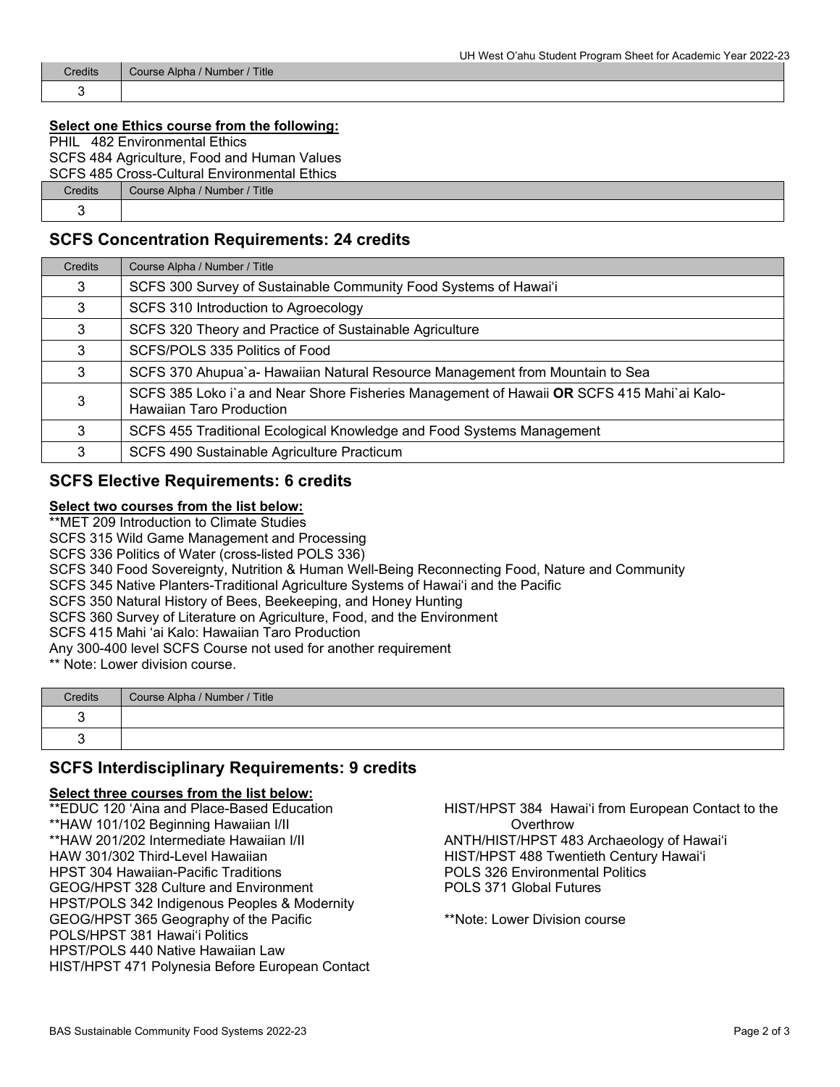| <b>Credits</b> | Course Alpha / Number / Title |
|----------------|-------------------------------|
|                |                               |

#### **Select one Ethics course from the following:**

| PHIL                                         | 482 Environmental Ethics                    |  |
|----------------------------------------------|---------------------------------------------|--|
|                                              | SCFS 484 Agriculture, Food and Human Values |  |
| SCFS 485 Cross-Cultural Environmental Ethics |                                             |  |
| <b>Credits</b>                               | Course Alpha / Number / Title               |  |
|                                              |                                             |  |

### **SCFS Concentration Requirements: 24 credits**

| Credits | Course Alpha / Number / Title                                                                                                |
|---------|------------------------------------------------------------------------------------------------------------------------------|
| 3       | SCFS 300 Survey of Sustainable Community Food Systems of Hawai'i                                                             |
| 3       | SCFS 310 Introduction to Agroecology                                                                                         |
| 3       | SCFS 320 Theory and Practice of Sustainable Agriculture                                                                      |
| 3       | SCFS/POLS 335 Politics of Food                                                                                               |
| 3       | SCFS 370 Ahupua'a- Hawaiian Natural Resource Management from Mountain to Sea                                                 |
| 3       | SCFS 385 Loko i'a and Near Shore Fisheries Management of Hawaii OR SCFS 415 Mahi'ai Kalo-<br><b>Hawaiian Taro Production</b> |
| 3       | SCFS 455 Traditional Ecological Knowledge and Food Systems Management                                                        |
| 3       | SCFS 490 Sustainable Agriculture Practicum                                                                                   |

### **SCFS Elective Requirements: 6 credits**

#### **Select two courses from the list below:**

\*\*MET 209 Introduction to Climate Studies

SCFS 315 Wild Game Management and Processing

SCFS 336 Politics of Water (cross-listed POLS 336)

SCFS 340 Food Sovereignty, Nutrition & Human Well-Being Reconnecting Food, Nature and Community

SCFS 345 Native Planters-Traditional Agriculture Systems of Hawai'i and the Pacific

SCFS 350 Natural History of Bees, Beekeeping, and Honey Hunting

SCFS 360 Survey of Literature on Agriculture, Food, and the Environment

SCFS 415 Mahi ʻai Kalo: Hawaiian Taro Production

Any 300-400 level SCFS Course not used for another requirement

\*\* Note: Lower division course.

| Credits | Course Alpha / Number / Title |
|---------|-------------------------------|
|         |                               |
|         |                               |

## **SCFS Interdisciplinary Requirements: 9 credits**

#### **Select three courses from the list below:**

\*\*EDUC 120 'Aina and Place-Based Education \*\*HAW 101/102 Beginning Hawaiian I/II \*\*HAW 201/202 Intermediate Hawaiian I/II HAW 301/302 Third-Level Hawaiian HPST 304 Hawaiian-Pacific Traditions GEOG/HPST 328 Culture and Environment HPST/POLS 342 Indigenous Peoples & Modernity GEOG/HPST 365 Geography of the Pacific POLS/HPST 381 Hawaiʻi Politics HPST/POLS 440 Native Hawaiian Law HIST/HPST 471 Polynesia Before European Contact

HIST/HPST 384 Hawaiʻi from European Contact to the **Overthrow** ANTH/HIST/HPST 483 Archaeology of Hawaiʻi HIST/HPST 488 Twentieth Century Hawaiʻi POLS 326 Environmental Politics POLS 371 Global Futures

\*\*Note: Lower Division course